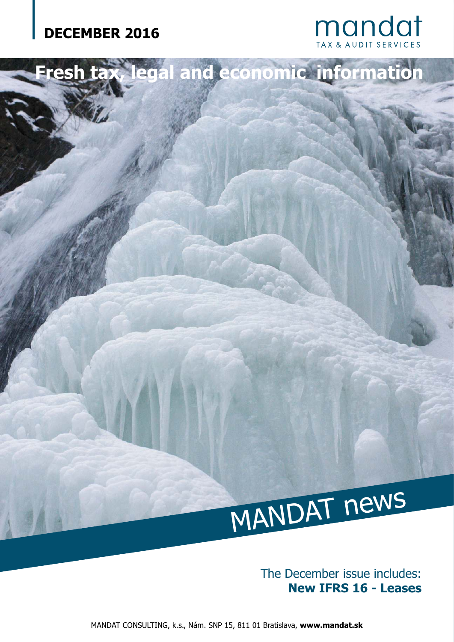



The December issue includes: **New IFRS 16 - Leases**

MANDAT CONSULTING, k.s., Nám. SNP 15, 811 01 Bratislava, **www.mandat.sk**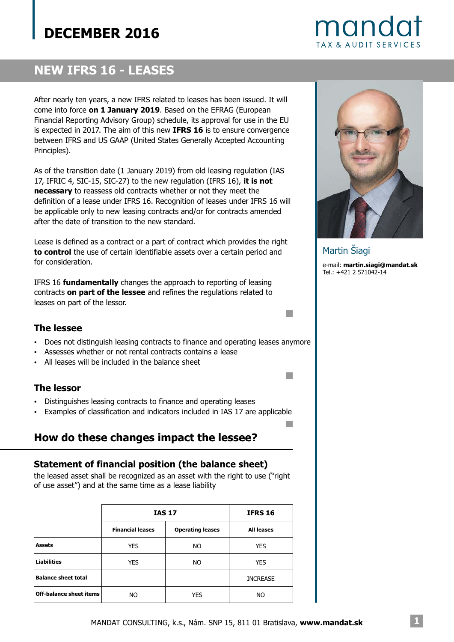

## **NEW IFRS 16 - LEASES**

After nearly ten years, a new IFRS related to leases has been issued. It will come into force on 1 January 2019. Based on the EFRAG (European Financial Reporting Advisory Group) schedule, its approval for use in the EU is expected in 2017. The aim of this new IFRS 16 is to ensure convergence between IFRS and US GAAP (United States Generally Accepted Accounting Principles).

As of the transition date (1 January 2019) from old leasing regulation (IAS 17, IFRIC 4, SIC-15, SIC-27) to the new regulation (IFRS 16), **it is not** necessary to reassess old contracts whether or not they meet the definition of a lease under IFRS 16. Recognition of leases under IFRS 16 will be applicable only to new leasing contracts and/or for contracts amended after the date of transition to the new standard.

Lease is defined as a contract or a part of contract which provides the right **to control** the use of certain identifiable assets over a certain period and for consideration.

IFRS 16 fundamentally changes the approach to reporting of leasing contracts **on part of the lessee** and refines the regulations related to leases on part of the lessor.

### **The lessee**

- ? Does not distinguish leasing contracts to finance and operating leases anymore
- ? Assesses whether or not rental contracts contains a lease
- ? All leases will be included in the balance sheet

### **The lessor**

- ? Distinguishes leasing contracts to finance and operating leases
- ? Examples of classification and indicators included in IAS 17 are applicable

## **How do these changes impact the lessee?**

### **Statement of financial position (the balance sheet)**

the leased asset shall be recognized as an asset with the right to use ("right of use asset") and at the same time as a lease liability

|                                | <b>IAS 17</b>           |                         | <b>IFRS 16</b>    |
|--------------------------------|-------------------------|-------------------------|-------------------|
|                                | <b>Financial leases</b> | <b>Operating leases</b> | <b>All leases</b> |
| <b>Assets</b>                  | <b>YES</b>              | NO.                     | <b>YES</b>        |
| <b>Liabilities</b>             | <b>YES</b>              | NO.                     | <b>YES</b>        |
| <b>Balance sheet total</b>     |                         |                         | <b>INCREASE</b>   |
| <b>Off-balance sheet items</b> | NO                      | <b>YES</b>              | NO                |



e-mail: **martin.siagi@mandat.sk** Tel.: +421 2 571042-14 Martin Šiagi

m.

n

 $\Box$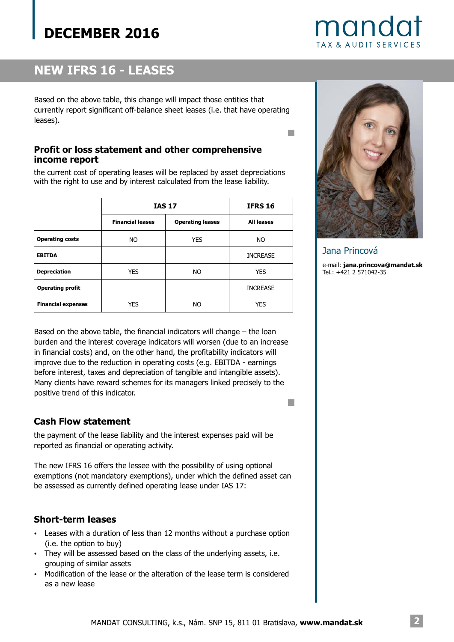

# **NEW IFRS 16 - LEASES**

Based on the above table, this change will impact those entities that currently report significant off-balance sheet leases (i.e. that have operating leases).

## **Profit or loss statement and other comprehensive income report**

the current cost of operating leases will be replaced by asset depreciations with the right to use and by interest calculated from the lease liability.

|                           | <b>IAS 17</b>           |                         | <b>IFRS 16</b>    |
|---------------------------|-------------------------|-------------------------|-------------------|
|                           | <b>Financial leases</b> | <b>Operating leases</b> | <b>All leases</b> |
| <b>Operating costs</b>    | NO.                     | <b>YES</b>              | NO.               |
| <b>EBITDA</b>             |                         |                         | <b>INCREASE</b>   |
| <b>Depreciation</b>       | <b>YES</b>              | NO.                     | <b>YES</b>        |
| <b>Operating profit</b>   |                         |                         | <b>INCREASE</b>   |
| <b>Financial expenses</b> | <b>YES</b>              | NO                      | <b>YES</b>        |



T.

**College** 

Jana Princová

e-mail: **jana.princova@mandat.sk** Tel.: +421 2 571042-35

Based on the above table, the financial indicators will change – the loan burden and the interest coverage indicators will worsen (due to an increase in financial costs) and, on the other hand, the profitability indicators will improve due to the reduction in operating costs (e.g. EBITDA - earnings before interest, taxes and depreciation of tangible and intangible assets). Many clients have reward schemes for its managers linked precisely to the positive trend of this indicator.

## **Cash Flow statement**

the payment of the lease liability and the interest expenses paid will be reported as financial or operating activity.

The new IFRS 16 offers the lessee with the possibility of using optional exemptions (not mandatory exemptions), under which the defined asset can be assessed as currently defined operating lease under IAS 17:

## **Short-term leases**

- ? Leases with a duration of less than 12 months without a purchase option (i.e. the option to buy)
- They will be assessed based on the class of the underlying assets, i.e. grouping of similar assets
- ? Modification of the lease or the alteration of the lease term is considered as a new lease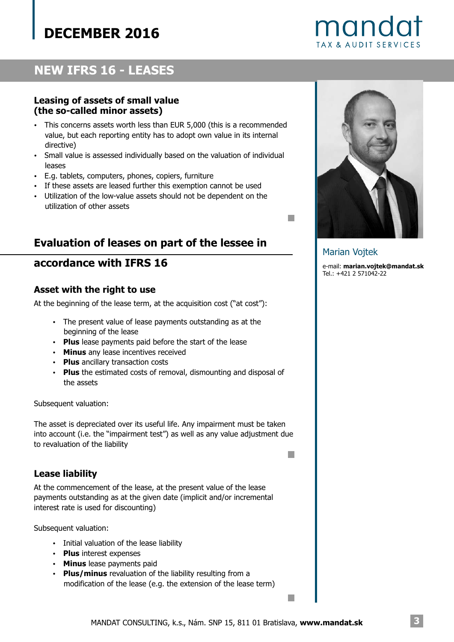

## **NEW IFRS 16 - LEASES**

## **Leasing of assets of small value (the so-called minor assets)**

- ? This concerns assets worth less than EUR 5,000 (this is a recommended value, but each reporting entity has to adopt own value in its internal directive)
- $\bullet$ Small value is assessed individually based on the valuation of individual leases
- ? E.g. tablets, computers, phones, copiers, furniture
- ? If these assets are leased further this exemption cannot be used
- Utilization of the low-value assets should not be dependent on the utilization of other assets

## **Evaluation of leases on part of the lessee in**

## **accordance with IFRS 16**

#### **Asset with the right to use**

At the beginning of the lease term, at the acquisition cost ("at cost"):

- The present value of lease payments outstanding as at the beginning of the lease
- Plus lease payments paid before the start of the lease
- **Minus** any lease incentives received
- Plus ancillary transaction costs
- Plus the estimated costs of removal, dismounting and disposal of the assets

Subsequent valuation:

The asset is depreciated over its useful life. Any impairment must be taken into account (i.e. the "impairment test") as well as any value adjustment due to revaluation of the liability

### **Lease liability**

At the commencement of the lease, at the present value of the lease payments outstanding as at the given date (implicit and/or incremental interest rate is used for discounting)

Subsequent valuation:

- Initial valuation of the lease liability
- Plus interest expenses
- Minus lease payments paid
- Plus/minus revaluation of the liability resulting from a modification of the lease (e.g. the extension of the lease term)



#### Marian Vojtek

m,

**The State** 

 $\Box$ 

e-mail: **marian.vojtek@mandat.sk** Tel.: +421 2 571042-22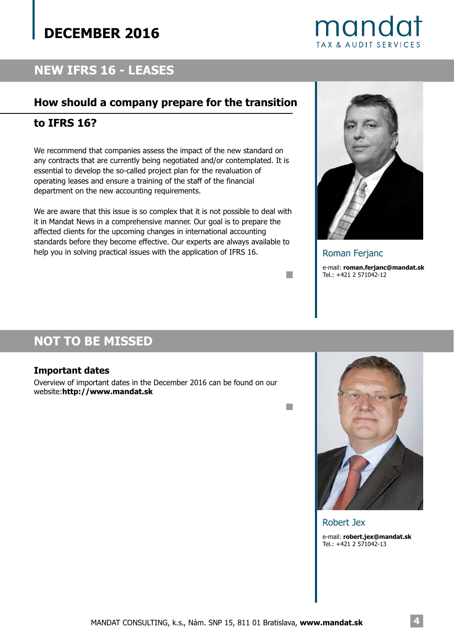

## **NEW IFRS 16 - LEASES**

## **How should a company prepare for the transition**

## **to IFRS 16?**

We recommend that companies assess the impact of the new standard on any contracts that are currently being negotiated and/or contemplated. It is essential to develop the so-called project plan for the revaluation of operating leases and ensure a training of the staff of the financial department on the new accounting requirements.

We are aware that this issue is so complex that it is not possible to deal with it in Mandat News in a comprehensive manner. Our goal is to prepare the affected clients for the upcoming changes in international accounting standards before they become effective. Our experts are always available to help you in solving practical issues with the application of IFRS 16.



e-mail: **roman.ferjanc@mandat.sk** Tel.: +421 2 571042-12 Roman Ferjanc

## **NOT TO BE MISSED**

### **Important dates**

Overview of important dates in the December 2016 can be found on our website:**http://www.mandat.sk**

 $\Box$ 

 $\Box$ 



## Robert Jex e-mail: **robert.jex@mandat.sk**Tel.: +421 2 571042-13